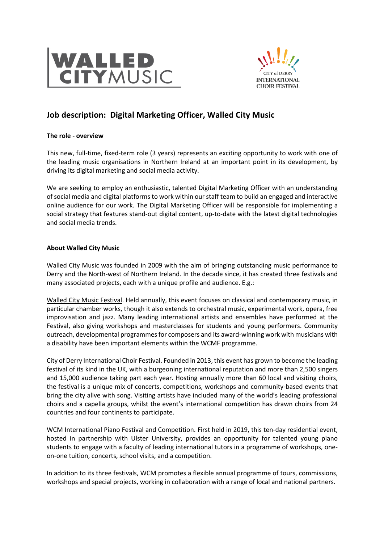



# **Job description: Digital Marketing Officer, Walled City Music**

### **The role - overview**

This new, full-time, fixed-term role (3 years) represents an exciting opportunity to work with one of the leading music organisations in Northern Ireland at an important point in its development, by driving its digital marketing and social media activity.

We are seeking to employ an enthusiastic, talented Digital Marketing Officer with an understanding of social media and digital platforms to work within our staff team to build an engaged and interactive online audience for our work. The Digital Marketing Officer will be responsible for implementing a social strategy that features stand-out digital content, up-to-date with the latest digital technologies and social media trends.

## **About Walled City Music**

Walled City Music was founded in 2009 with the aim of bringing outstanding music performance to Derry and the North-west of Northern Ireland. In the decade since, it has created three festivals and many associated projects, each with a unique profile and audience. E.g.:

Walled City Music Festival. Held annually, this event focuses on classical and contemporary music, in particular chamber works, though it also extends to orchestral music, experimental work, opera, free improvisation and jazz. Many leading international artists and ensembles have performed at the Festival, also giving workshops and masterclasses for students and young performers. Community outreach, developmental programmes for composers and its award-winning work with musicians with a disability have been important elements within the WCMF programme.

City of Derry International Choir Festival. Founded in 2013, this event has grown to become the leading festival of its kind in the UK, with a burgeoning international reputation and more than 2,500 singers and 15,000 audience taking part each year. Hosting annually more than 60 local and visiting choirs, the festival is a unique mix of concerts, competitions, workshops and community-based events that bring the city alive with song. Visiting artists have included many of the world's leading professional choirs and a capella groups, whilst the event's international competition has drawn choirs from 24 countries and four continents to participate.

WCM International Piano Festival and Competition. First held in 2019, this ten-day residential event, hosted in partnership with Ulster University, provides an opportunity for talented young piano students to engage with a faculty of leading international tutors in a programme of workshops, oneon-one tuition, concerts, school visits, and a competition.

In addition to its three festivals, WCM promotes a flexible annual programme of tours, commissions, workshops and special projects, working in collaboration with a range of local and national partners.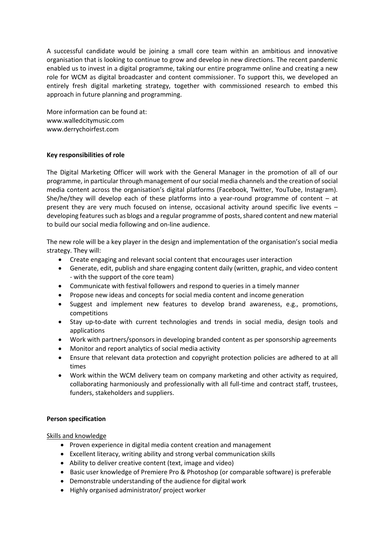A successful candidate would be joining a small core team within an ambitious and innovative organisation that is looking to continue to grow and develop in new directions. The recent pandemic enabled us to invest in a digital programme, taking our entire programme online and creating a new role for WCM as digital broadcaster and content commissioner. To support this, we developed an entirely fresh digital marketing strategy, together with commissioned research to embed this approach in future planning and programming.

More information can be found at: www.walledcitymusic.com www.derrychoirfest.com

## **Key responsibilities of role**

The Digital Marketing Officer will work with the General Manager in the promotion of all of our programme, in particular through management of our social media channels and the creation of social media content across the organisation's digital platforms (Facebook, Twitter, YouTube, Instagram). She/he/they will develop each of these platforms into a year-round programme of content – at present they are very much focused on intense, occasional activity around specific live events – developing features such as blogs and a regular programme of posts, shared content and new material to build our social media following and on-line audience.

The new role will be a key player in the design and implementation of the organisation's social media strategy. They will:

- Create engaging and relevant social content that encourages user interaction
- Generate, edit, publish and share engaging content daily (written, graphic, and video content - with the support of the core team)
- Communicate with festival followers and respond to queries in a timely manner
- Propose new ideas and concepts for social media content and income generation
- Suggest and implement new features to develop brand awareness, e.g., promotions, competitions
- Stay up-to-date with current technologies and trends in social media, design tools and applications
- Work with partners/sponsors in developing branded content as per sponsorship agreements
- Monitor and report analytics of social media activity
- Ensure that relevant data protection and copyright protection policies are adhered to at all times
- Work within the WCM delivery team on company marketing and other activity as required, collaborating harmoniously and professionally with all full-time and contract staff, trustees, funders, stakeholders and suppliers.

### **Person specification**

### Skills and knowledge

- Proven experience in digital media content creation and management
- Excellent literacy, writing ability and strong verbal communication skills
- Ability to deliver creative content (text, image and video)
- Basic user knowledge of Premiere Pro & Photoshop (or comparable software) is preferable
- Demonstrable understanding of the audience for digital work
- Highly organised administrator/ project worker